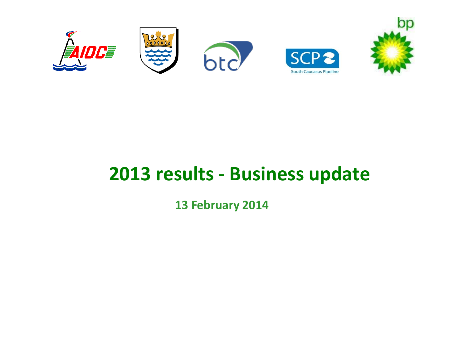

# **2013 results - Business update**

**13 February 2014**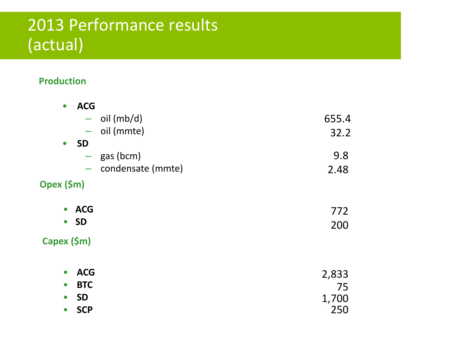### 2013 Performance results (actual)

#### **Production**

| $\bullet$   | <b>ACG</b> |                   |       |
|-------------|------------|-------------------|-------|
|             | -          | oil (mb/d)        | 655.4 |
|             |            | $-$ oil (mmte)    | 32.2  |
| $\bullet$   | <b>SD</b>  |                   |       |
|             |            | $-$ gas (bcm)     | 9.8   |
|             | н.         | condensate (mmte) | 2.48  |
| Opex (\$m)  |            |                   |       |
| $\bullet$   | <b>ACG</b> |                   | 772   |
| $\bullet$   | <b>SD</b>  |                   | 200   |
| Capex (\$m) |            |                   |       |
| $\bullet$   | <b>ACG</b> |                   | 2,833 |
| $\bullet$   | <b>BTC</b> |                   | 75    |
| $\bullet$   | <b>SD</b>  |                   | 1,700 |
| $\bullet$   | <b>SCP</b> |                   | 250   |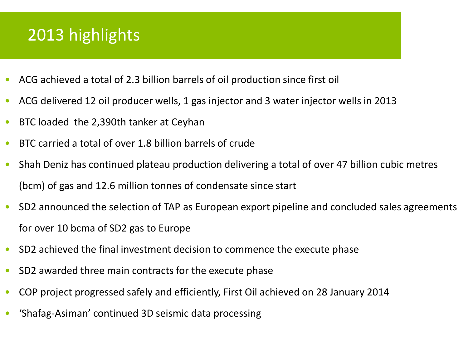## 2013 highlights

- ACG achieved a total of 2.3 billion barrels of oil production since first oil
- ACG delivered 12 oil producer wells, 1 gas injector and 3 water injector wells in 2013
- BTC loaded the 2,390th tanker at Ceyhan
- BTC carried a total of over 1.8 billion barrels of crude
- Shah Deniz has continued plateau production delivering a total of over 47 billion cubic metres (bcm) of gas and 12.6 million tonnes of condensate since start
- SD2 announced the selection of TAP as European export pipeline and concluded sales agreements for over 10 bcma of SD2 gas to Europe
- SD2 achieved the final investment decision to commence the execute phase
- SD2 awarded three main contracts for the execute phase
- COP project progressed safely and efficiently, First Oil achieved on 28 January 2014
- 'Shafag-Asiman' continued 3D seismic data processing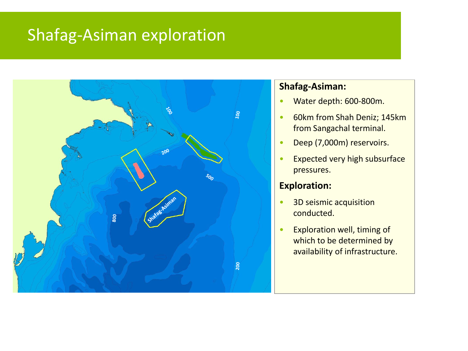### Shafag-Asiman exploration



#### **Shafag-Asiman:**

- Water depth: 600-800m.
- 60km from Shah Deniz; 145km from Sangachal terminal.
- Deep (7,000m) reservoirs.
- Expected very high subsurface pressures.

#### **Exploration:**

- 3D seismic acquisition conducted.
- Exploration well, timing of which to be determined by availability of infrastructure.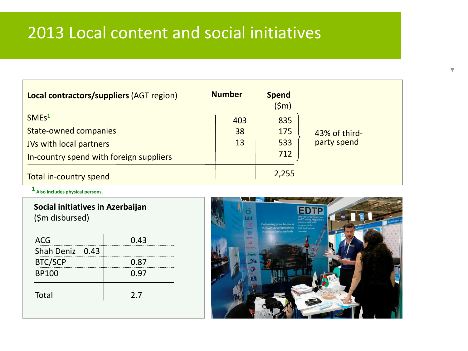### 2013 Local content and social initiatives

| <b>Local contractors/suppliers (AGT region)</b> | <b>Number</b> | <b>Spend</b><br>(5m) |               |
|-------------------------------------------------|---------------|----------------------|---------------|
| SMEs <sup>1</sup>                               | 403           | 835                  |               |
| <b>State-owned companies</b>                    | 38            | 175                  | 43% of third- |
| <b>JVs with local partners</b>                  | 13            | 533                  | party spend   |
| In-country spend with foreign suppliers         |               | 712                  |               |
| Total in-country spend                          |               | 2,255                |               |

**1 Also includes physical persons.**

| Social initiatives in Azerbaijan |  |
|----------------------------------|--|
| (\$m disbursed)                  |  |

| ACG             | 0.43 |
|-----------------|------|
| Shah Deniz 0.43 |      |
| <b>BTC/SCP</b>  | 0.87 |
| <b>BP100</b>    | 0.97 |
| <b>Total</b>    | 2.7  |



V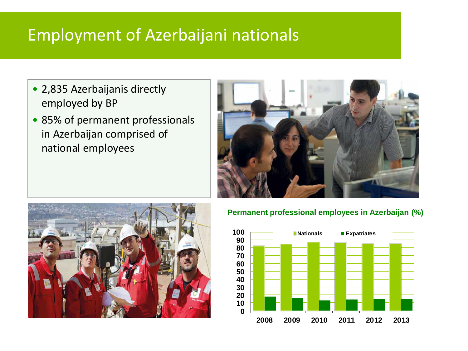### Employment of Azerbaijani nationals

- 2,835 Azerbaijanis directly employed by BP
- 85% of permanent professionals in Azerbaijan comprised of national employees





#### **Permanent professional employees in Azerbaijan (%)**